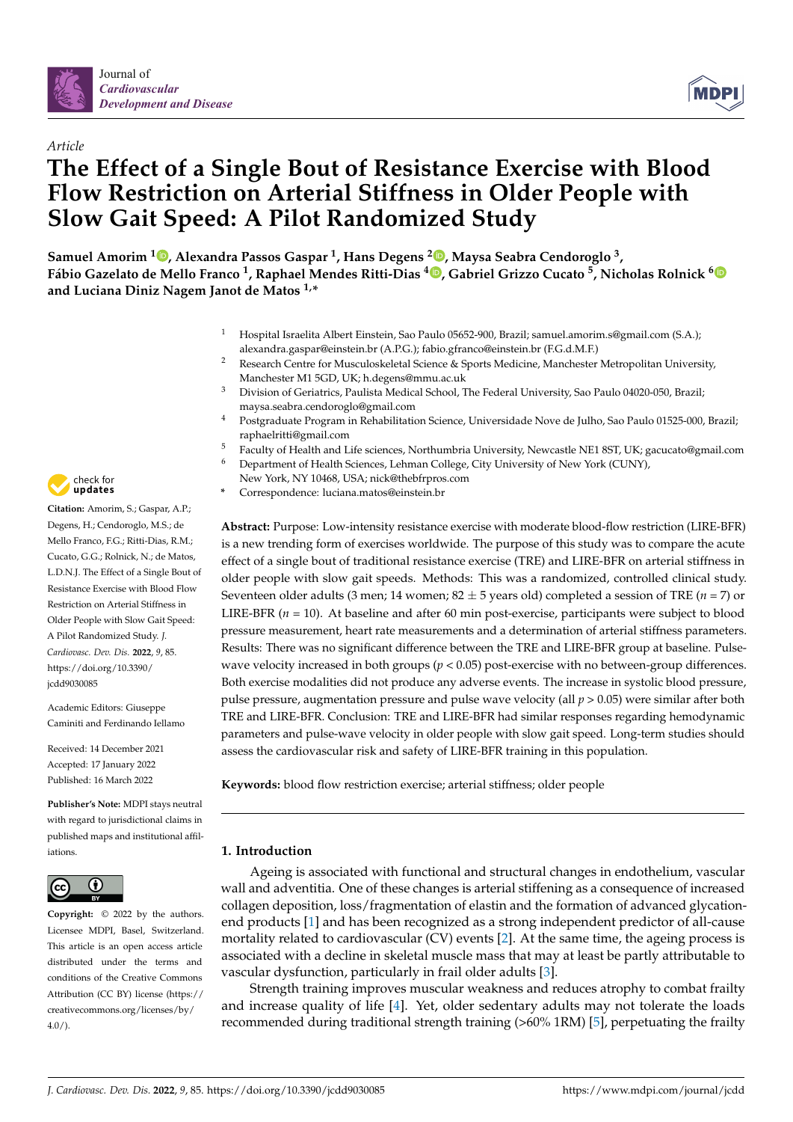



# *Article* **The Effect of a Single Bout of Resistance Exercise with Blood Flow Restriction on Arterial Stiffness in Older People with Slow Gait Speed: A Pilot Randomized Study**

**Samuel Amorim <sup>1</sup> [,](https://orcid.org/0000-0002-5510-8559) Alexandra Passos Gaspar <sup>1</sup> , Hans Degens <sup>2</sup> [,](https://orcid.org/0000-0001-7399-4841) Maysa Seabra Cendoroglo <sup>3</sup> , Fábio Gazelato de Mello Franco <sup>1</sup> , Raphael Mendes Ritti-Dias <sup>4</sup> [,](https://orcid.org/0000-0001-7883-6746) Gabriel Grizzo Cucato <sup>5</sup> , Nicholas Rolnick [6](https://orcid.org/0000-0003-0430-5015) and Luciana Diniz Nagem Janot de Matos 1,\***

- <sup>1</sup> Hospital Israelita Albert Einstein, Sao Paulo 05652-900, Brazil; samuel.amorim.s@gmail.com (S.A.); alexandra.gaspar@einstein.br (A.P.G.); fabio.gfranco@einstein.br (F.G.d.M.F.)
- <sup>2</sup> Research Centre for Musculoskeletal Science & Sports Medicine, Manchester Metropolitan University, Manchester M1 5GD, UK; h.degens@mmu.ac.uk
- <sup>3</sup> Division of Geriatrics, Paulista Medical School, The Federal University, Sao Paulo 04020-050, Brazil; maysa.seabra.cendoroglo@gmail.com
- <sup>4</sup> Postgraduate Program in Rehabilitation Science, Universidade Nove de Julho, Sao Paulo 01525-000, Brazil; raphaelritti@gmail.com
- <sup>5</sup> Faculty of Health and Life sciences, Northumbria University, Newcastle NE1 8ST, UK; gacucato@gmail.com
- <sup>6</sup> Department of Health Sciences, Lehman College, City University of New York (CUNY),
- New York, NY 10468, USA; nick@thebfrpros.com
- **\*** Correspondence: luciana.matos@einstein.br

**Abstract:** Purpose: Low-intensity resistance exercise with moderate blood-flow restriction (LIRE-BFR) is a new trending form of exercises worldwide. The purpose of this study was to compare the acute effect of a single bout of traditional resistance exercise (TRE) and LIRE-BFR on arterial stiffness in older people with slow gait speeds. Methods: This was a randomized, controlled clinical study. Seventeen older adults (3 men; 14 women;  $82 \pm 5$  years old) completed a session of TRE ( $n = 7$ ) or LIRE-BFR (*n* = 10). At baseline and after 60 min post-exercise, participants were subject to blood pressure measurement, heart rate measurements and a determination of arterial stiffness parameters. Results: There was no significant difference between the TRE and LIRE-BFR group at baseline. Pulsewave velocity increased in both groups (*p* < 0.05) post-exercise with no between-group differences. Both exercise modalities did not produce any adverse events. The increase in systolic blood pressure, pulse pressure, augmentation pressure and pulse wave velocity (all *p* > 0.05) were similar after both TRE and LIRE-BFR. Conclusion: TRE and LIRE-BFR had similar responses regarding hemodynamic parameters and pulse-wave velocity in older people with slow gait speed. Long-term studies should assess the cardiovascular risk and safety of LIRE-BFR training in this population.

**Keywords:** blood flow restriction exercise; arterial stiffness; older people

# **1. Introduction**

Ageing is associated with functional and structural changes in endothelium, vascular wall and adventitia. One of these changes is arterial stiffening as a consequence of increased collagen deposition, loss/fragmentation of elastin and the formation of advanced glycationend products [\[1\]](#page-8-0) and has been recognized as a strong independent predictor of all-cause mortality related to cardiovascular (CV) events [\[2\]](#page-8-1). At the same time, the ageing process is associated with a decline in skeletal muscle mass that may at least be partly attributable to vascular dysfunction, particularly in frail older adults [\[3\]](#page-8-2).

Strength training improves muscular weakness and reduces atrophy to combat frailty and increase quality of life [\[4\]](#page-8-3). Yet, older sedentary adults may not tolerate the loads recommended during traditional strength training (>60% 1RM) [\[5\]](#page-8-4), perpetuating the frailty



**Citation:** Amorim, S.; Gaspar, A.P.; Degens, H.; Cendoroglo, M.S.; de Mello Franco, F.G.; Ritti-Dias, R.M.; Cucato, G.G.; Rolnick, N.; de Matos, L.D.N.J. The Effect of a Single Bout of Resistance Exercise with Blood Flow Restriction on Arterial Stiffness in Older People with Slow Gait Speed: A Pilot Randomized Study. *J. Cardiovasc. Dev. Dis.* **2022**, *9*, 85. [https://doi.org/10.3390/](https://doi.org/10.3390/jcdd9030085) [jcdd9030085](https://doi.org/10.3390/jcdd9030085)

Academic Editors: Giuseppe Caminiti and Ferdinando Iellamo

Received: 14 December 2021 Accepted: 17 January 2022 Published: 16 March 2022

**Publisher's Note:** MDPI stays neutral with regard to jurisdictional claims in published maps and institutional affiliations.



**Copyright:** © 2022 by the authors. Licensee MDPI, Basel, Switzerland. This article is an open access article distributed under the terms and conditions of the Creative Commons Attribution (CC BY) license [\(https://](https://creativecommons.org/licenses/by/4.0/) [creativecommons.org/licenses/by/](https://creativecommons.org/licenses/by/4.0/)  $4.0/$ ).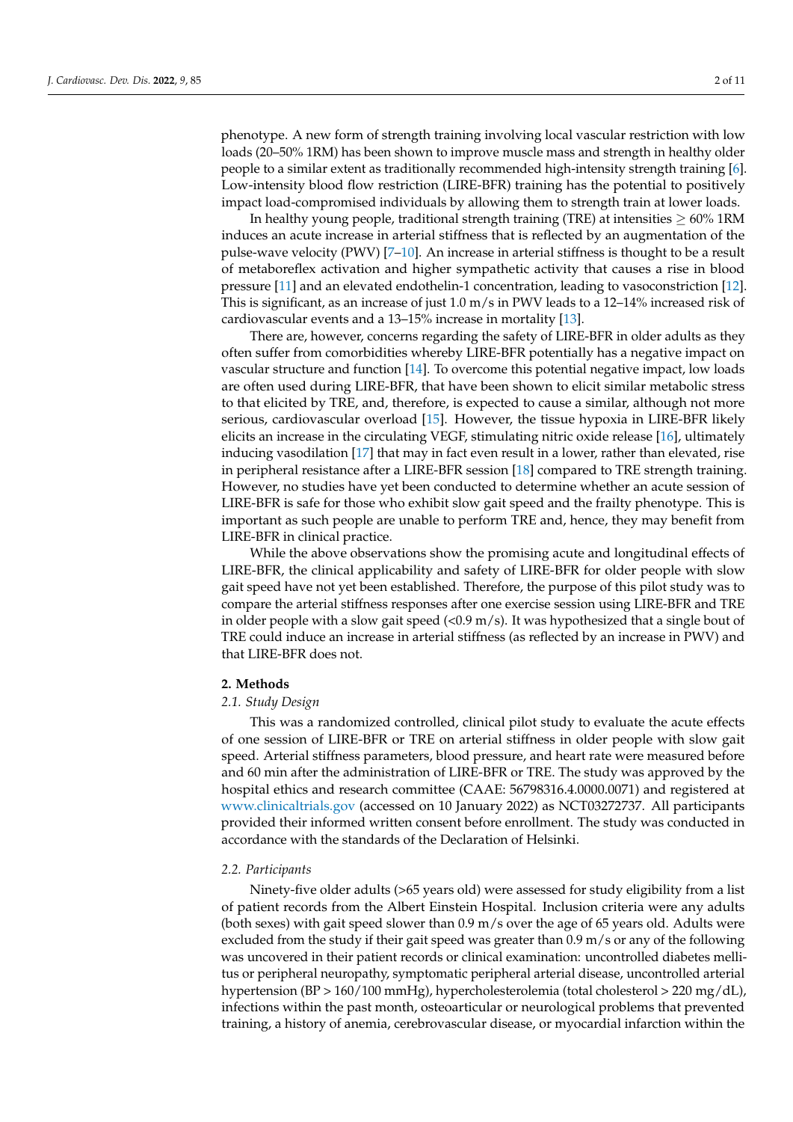phenotype. A new form of strength training involving local vascular restriction with low loads (20–50% 1RM) has been shown to improve muscle mass and strength in healthy older people to a similar extent as traditionally recommended high-intensity strength training [\[6\]](#page-8-5). Low-intensity blood flow restriction (LIRE-BFR) training has the potential to positively impact load-compromised individuals by allowing them to strength train at lower loads.

In healthy young people, traditional strength training (TRE) at intensities  $\geq 60\%$  1RM induces an acute increase in arterial stiffness that is reflected by an augmentation of the pulse-wave velocity (PWV) [\[7](#page-8-6)[–10\]](#page-8-7). An increase in arterial stiffness is thought to be a result of metaboreflex activation and higher sympathetic activity that causes a rise in blood pressure [\[11\]](#page-8-8) and an elevated endothelin-1 concentration, leading to vasoconstriction [\[12\]](#page-8-9). This is significant, as an increase of just 1.0 m/s in PWV leads to a 12–14% increased risk of cardiovascular events and a 13–15% increase in mortality [\[13\]](#page-8-10).

There are, however, concerns regarding the safety of LIRE-BFR in older adults as they often suffer from comorbidities whereby LIRE-BFR potentially has a negative impact on vascular structure and function [\[14\]](#page-8-11). To overcome this potential negative impact, low loads are often used during LIRE-BFR, that have been shown to elicit similar metabolic stress to that elicited by TRE, and, therefore, is expected to cause a similar, although not more serious, cardiovascular overload [\[15\]](#page-9-0). However, the tissue hypoxia in LIRE-BFR likely elicits an increase in the circulating VEGF, stimulating nitric oxide release [\[16\]](#page-9-1), ultimately inducing vasodilation [\[17\]](#page-9-2) that may in fact even result in a lower, rather than elevated, rise in peripheral resistance after a LIRE-BFR session [\[18\]](#page-9-3) compared to TRE strength training. However, no studies have yet been conducted to determine whether an acute session of LIRE-BFR is safe for those who exhibit slow gait speed and the frailty phenotype. This is important as such people are unable to perform TRE and, hence, they may benefit from LIRE-BFR in clinical practice.

While the above observations show the promising acute and longitudinal effects of LIRE-BFR, the clinical applicability and safety of LIRE-BFR for older people with slow gait speed have not yet been established. Therefore, the purpose of this pilot study was to compare the arterial stiffness responses after one exercise session using LIRE-BFR and TRE in older people with a slow gait speed  $\langle 0.9 \text{ m/s} \rangle$ . It was hypothesized that a single bout of TRE could induce an increase in arterial stiffness (as reflected by an increase in PWV) and that LIRE-BFR does not.

## **2. Methods**

## *2.1. Study Design*

This was a randomized controlled, clinical pilot study to evaluate the acute effects of one session of LIRE-BFR or TRE on arterial stiffness in older people with slow gait speed. Arterial stiffness parameters, blood pressure, and heart rate were measured before and 60 min after the administration of LIRE-BFR or TRE. The study was approved by the hospital ethics and research committee (CAAE: 56798316.4.0000.0071) and registered at <www.clinicaltrials.gov> (accessed on 10 January 2022) as NCT03272737. All participants provided their informed written consent before enrollment. The study was conducted in accordance with the standards of the Declaration of Helsinki.

## *2.2. Participants*

Ninety-five older adults (>65 years old) were assessed for study eligibility from a list of patient records from the Albert Einstein Hospital. Inclusion criteria were any adults (both sexes) with gait speed slower than  $0.9$  m/s over the age of 65 years old. Adults were excluded from the study if their gait speed was greater than  $0.9 \text{ m/s}$  or any of the following was uncovered in their patient records or clinical examination: uncontrolled diabetes mellitus or peripheral neuropathy, symptomatic peripheral arterial disease, uncontrolled arterial hypertension (BP > 160/100 mmHg), hypercholesterolemia (total cholesterol > 220 mg/dL), infections within the past month, osteoarticular or neurological problems that prevented training, a history of anemia, cerebrovascular disease, or myocardial infarction within the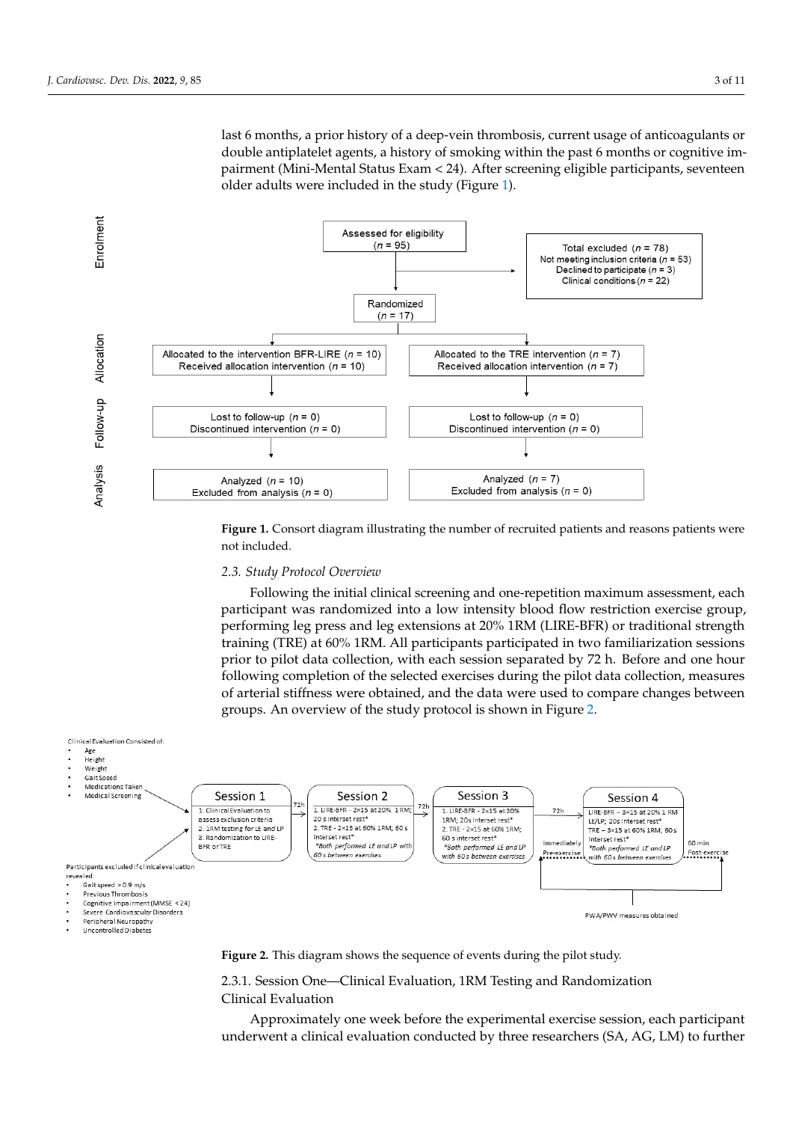<span id="page-2-0"></span>last 6 months, a prior history of a deep-vein thrombosis, current usage of anticoagulants or double antiplatelet agents, a history of smoking within the past 6 months or cognitive impairment (Mini-Mental Status Exam < 24). After screening eligible participants, seventeen nder adults were included in the study (Figure [1\)](#page-2-0).

mag/dL), infections with the past month, osteoarticular or neurological problems that  $\alpha$ 



**Figure 1.** Consort diagram illustrating the number of recruited patients and reasons patients were not included.

## <span id="page-2-1"></span>**Figure 1.** Consort diagram illustrating the number of recruited patients and reasons patients were 2.3. Study Protocol Overview

*2.3. Study Protocol Overview*  participant was randomized into a low intensity blood flow restriction exercise group, performing leg press and leg extensions at 20% 1RM (LIRE-BFR) or traditional strength  $\frac{1}{2}$ training (TRE) at 60% 1RM. All participants participated in two familiarization sessions in the matter of the matter of the matter of the matter of the matter of the matter of the matter of the matter of the matter of the prior to pilot data collection, with each session separated by 72 h. Before and one hour following completion of the selected exercises during the pilot data collection, measures of arterial stiffness were obtained, and the data were used to compare changes between groups. An overview of the study protocol is shown in Figure [2.](#page-2-1) Following the initial clinical screening and one-repetition maximum assessment, each



**Figure 2.** This diagram shows the sequence of events during the pilot study. **Figure 2.** This diagram shows the sequence of events during the pilot study.

2.3.1. Session One—Clinical Evaluation and Randomization and Randomization and Randomization and Randomization  $\mathcal{L}$ 2.3.1. Session One—Clinical Evaluation, 1RM Testing and Randomization

Approximately one week before the experimental exercise session, each participant underwent a clinical evaluation conducted by three researchers (SA, AG, LM) to further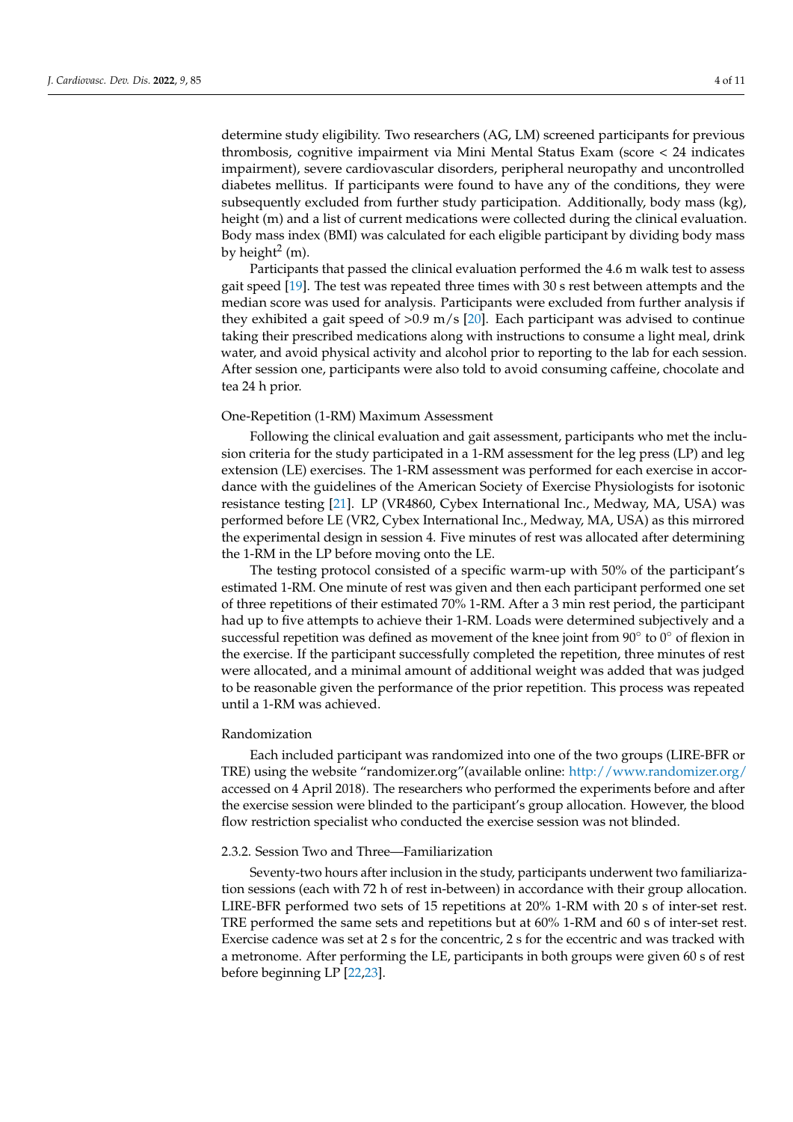determine study eligibility. Two researchers (AG, LM) screened participants for previous thrombosis, cognitive impairment via Mini Mental Status Exam (score < 24 indicates impairment), severe cardiovascular disorders, peripheral neuropathy and uncontrolled diabetes mellitus. If participants were found to have any of the conditions, they were subsequently excluded from further study participation. Additionally, body mass (kg), height (m) and a list of current medications were collected during the clinical evaluation. Body mass index (BMI) was calculated for each eligible participant by dividing body mass by height<sup>2</sup> (m).

Participants that passed the clinical evaluation performed the 4.6 m walk test to assess gait speed [\[19\]](#page-9-4). The test was repeated three times with 30 s rest between attempts and the median score was used for analysis. Participants were excluded from further analysis if they exhibited a gait speed of  $> 0.9$  m/s [\[20\]](#page-9-5). Each participant was advised to continue taking their prescribed medications along with instructions to consume a light meal, drink water, and avoid physical activity and alcohol prior to reporting to the lab for each session. After session one, participants were also told to avoid consuming caffeine, chocolate and tea 24 h prior.

## One-Repetition (1-RM) Maximum Assessment

Following the clinical evaluation and gait assessment, participants who met the inclusion criteria for the study participated in a 1-RM assessment for the leg press (LP) and leg extension (LE) exercises. The 1-RM assessment was performed for each exercise in accordance with the guidelines of the American Society of Exercise Physiologists for isotonic resistance testing [\[21\]](#page-9-6). LP (VR4860, Cybex International Inc., Medway, MA, USA) was performed before LE (VR2, Cybex International Inc., Medway, MA, USA) as this mirrored the experimental design in session 4. Five minutes of rest was allocated after determining the 1-RM in the LP before moving onto the LE.

The testing protocol consisted of a specific warm-up with 50% of the participant's estimated 1-RM. One minute of rest was given and then each participant performed one set of three repetitions of their estimated 70% 1-RM. After a 3 min rest period, the participant had up to five attempts to achieve their 1-RM. Loads were determined subjectively and a successful repetition was defined as movement of the knee joint from 90 $^{\circ}$  to  $0^{\circ}$  of flexion in the exercise. If the participant successfully completed the repetition, three minutes of rest were allocated, and a minimal amount of additional weight was added that was judged to be reasonable given the performance of the prior repetition. This process was repeated until a 1-RM was achieved.

## Randomization

Each included participant was randomized into one of the two groups (LIRE-BFR or TRE) using the website "randomizer.org"(available online: <http://www.randomizer.org/> accessed on 4 April 2018). The researchers who performed the experiments before and after the exercise session were blinded to the participant's group allocation. However, the blood flow restriction specialist who conducted the exercise session was not blinded.

## 2.3.2. Session Two and Three—Familiarization

Seventy-two hours after inclusion in the study, participants underwent two familiarization sessions (each with 72 h of rest in-between) in accordance with their group allocation. LIRE-BFR performed two sets of 15 repetitions at 20% 1-RM with 20 s of inter-set rest. TRE performed the same sets and repetitions but at 60% 1-RM and 60 s of inter-set rest. Exercise cadence was set at 2 s for the concentric, 2 s for the eccentric and was tracked with a metronome. After performing the LE, participants in both groups were given 60 s of rest before beginning LP [\[22](#page-9-7)[,23\]](#page-9-8).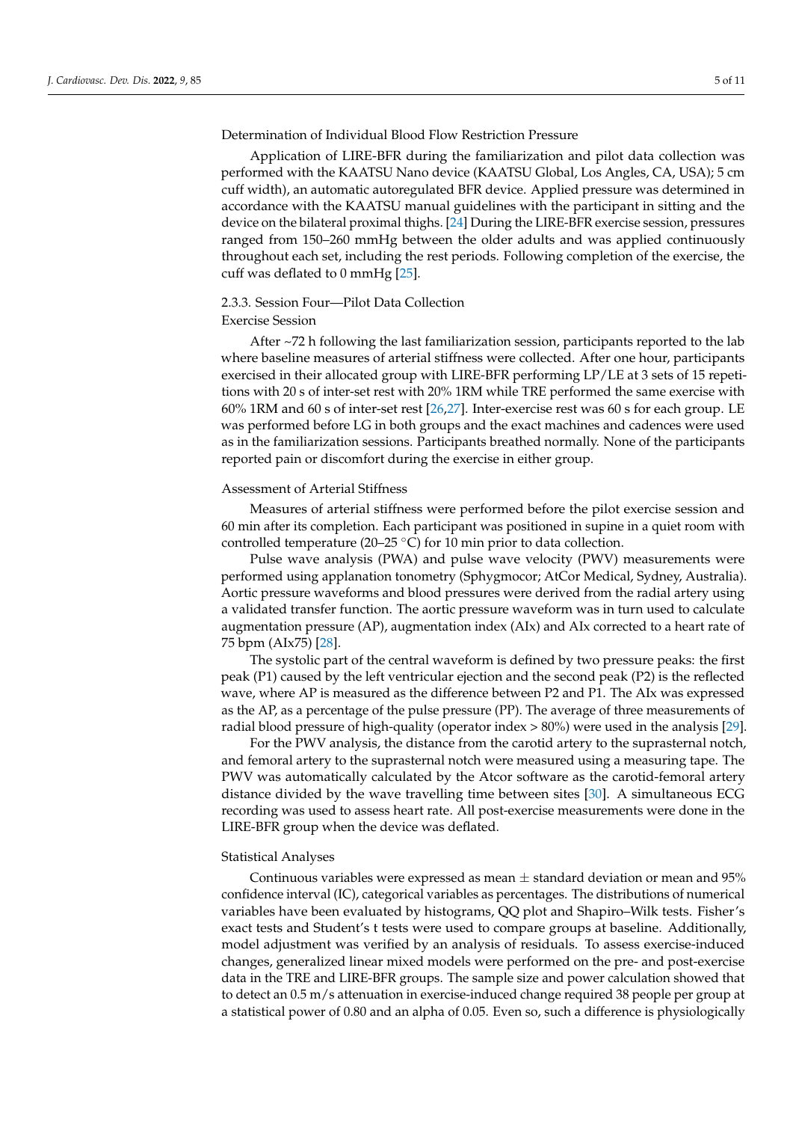Determination of Individual Blood Flow Restriction Pressure

Application of LIRE-BFR during the familiarization and pilot data collection was performed with the KAATSU Nano device (KAATSU Global, Los Angles, CA, USA); 5 cm cuff width), an automatic autoregulated BFR device. Applied pressure was determined in accordance with the KAATSU manual guidelines with the participant in sitting and the device on the bilateral proximal thighs. [\[24\]](#page-9-9) During the LIRE-BFR exercise session, pressures ranged from 150–260 mmHg between the older adults and was applied continuously throughout each set, including the rest periods. Following completion of the exercise, the cuff was deflated to 0 mmHg [\[25\]](#page-9-10).

# 2.3.3. Session Four—Pilot Data Collection

## Exercise Session

After ~72 h following the last familiarization session, participants reported to the lab where baseline measures of arterial stiffness were collected. After one hour, participants exercised in their allocated group with LIRE-BFR performing LP/LE at 3 sets of 15 repetitions with 20 s of inter-set rest with 20% 1RM while TRE performed the same exercise with 60% 1RM and 60 s of inter-set rest [\[26](#page-9-11)[,27\]](#page-9-12). Inter-exercise rest was 60 s for each group. LE was performed before LG in both groups and the exact machines and cadences were used as in the familiarization sessions. Participants breathed normally. None of the participants reported pain or discomfort during the exercise in either group.

#### Assessment of Arterial Stiffness

Measures of arterial stiffness were performed before the pilot exercise session and 60 min after its completion. Each participant was positioned in supine in a quiet room with controlled temperature (20–25 ◦C) for 10 min prior to data collection.

Pulse wave analysis (PWA) and pulse wave velocity (PWV) measurements were performed using applanation tonometry (Sphygmocor; AtCor Medical, Sydney, Australia). Aortic pressure waveforms and blood pressures were derived from the radial artery using a validated transfer function. The aortic pressure waveform was in turn used to calculate augmentation pressure (AP), augmentation index (AIx) and AIx corrected to a heart rate of 75 bpm (AIx75) [\[28\]](#page-9-13).

The systolic part of the central waveform is defined by two pressure peaks: the first peak (P1) caused by the left ventricular ejection and the second peak (P2) is the reflected wave, where AP is measured as the difference between P2 and P1. The AIx was expressed as the AP, as a percentage of the pulse pressure (PP). The average of three measurements of radial blood pressure of high-quality (operator index > 80%) were used in the analysis [\[29\]](#page-9-14).

For the PWV analysis, the distance from the carotid artery to the suprasternal notch, and femoral artery to the suprasternal notch were measured using a measuring tape. The PWV was automatically calculated by the Atcor software as the carotid-femoral artery distance divided by the wave travelling time between sites [\[30\]](#page-9-15). A simultaneous ECG recording was used to assess heart rate. All post-exercise measurements were done in the LIRE-BFR group when the device was deflated.

## Statistical Analyses

Continuous variables were expressed as mean  $\pm$  standard deviation or mean and 95% confidence interval (IC), categorical variables as percentages. The distributions of numerical variables have been evaluated by histograms, QQ plot and Shapiro–Wilk tests. Fisher's exact tests and Student's t tests were used to compare groups at baseline. Additionally, model adjustment was verified by an analysis of residuals. To assess exercise-induced changes, generalized linear mixed models were performed on the pre- and post-exercise data in the TRE and LIRE-BFR groups. The sample size and power calculation showed that to detect an 0.5 m/s attenuation in exercise-induced change required 38 people per group at a statistical power of 0.80 and an alpha of 0.05. Even so, such a difference is physiologically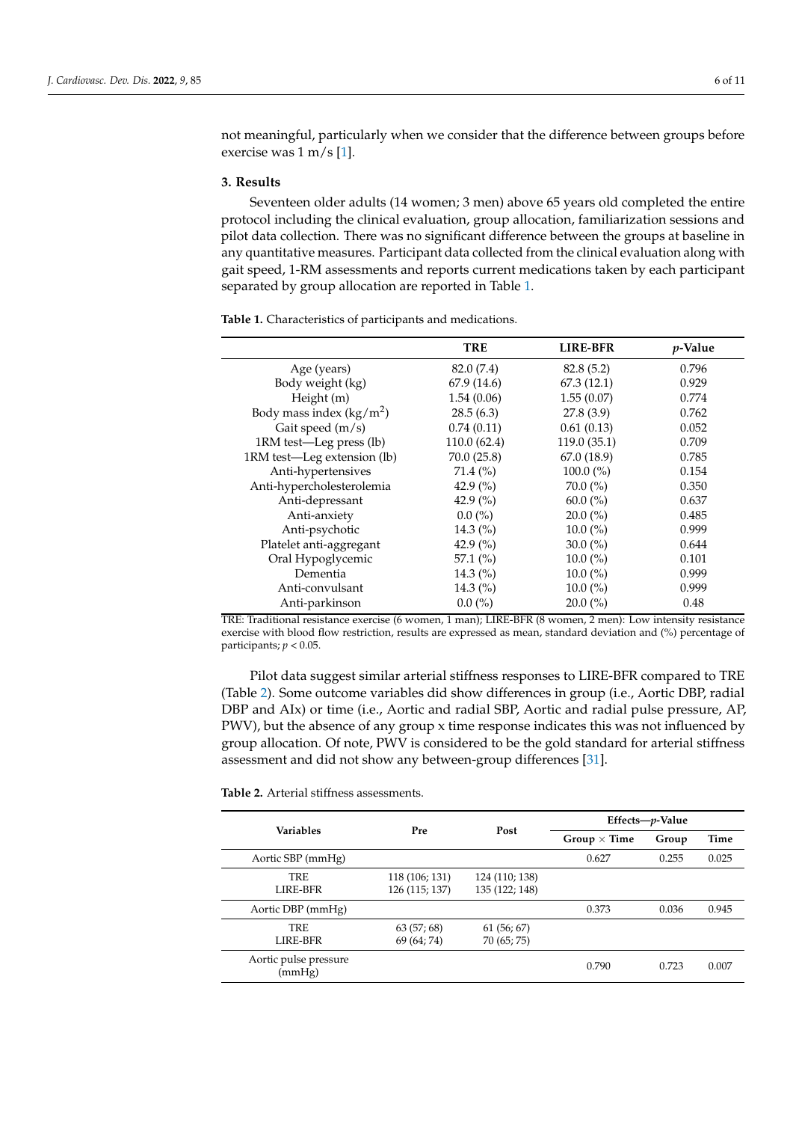not meaningful, particularly when we consider that the difference between groups before exercise was 1 m/s [\[1\]](#page-8-0).

## **3. Results**

Seventeen older adults (14 women; 3 men) above 65 years old completed the entire protocol including the clinical evaluation, group allocation, familiarization sessions and pilot data collection. There was no significant difference between the groups at baseline in any quantitative measures. Participant data collected from the clinical evaluation along with gait speed, 1-RM assessments and reports current medications taken by each participant separated by group allocation are reported in Table [1.](#page-5-0)

<span id="page-5-0"></span>**Table 1.** Characteristics of participants and medications.

|                             | TRE          | <b>LIRE-BFR</b> | <i>p</i> -Value |
|-----------------------------|--------------|-----------------|-----------------|
| Age (years)                 | 82.0 (7.4)   | 82.8(5.2)       | 0.796           |
| Body weight (kg)            | 67.9(14.6)   | 67.3(12.1)      | 0.929           |
| Height (m)                  | 1.54(0.06)   | 1.55(0.07)      | 0.774           |
| Body mass index $(kg/m^2)$  | 28.5(6.3)    | 27.8(3.9)       | 0.762           |
| Gait speed (m/s)            | 0.74(0.11)   | 0.61(0.13)      | 0.052           |
| 1RM test-Leg press (lb)     | 110.0(62.4)  | 119.0(35.1)     | 0.709           |
| 1RM test-Leg extension (lb) | 70.0(25.8)   | 67.0 (18.9)     | 0.785           |
| Anti-hypertensives          | $71.4\ (%)$  | $100.0\,(%)$    | 0.154           |
| Anti-hypercholesterolemia   | 42.9 $(\% )$ | $70.0\ (\%)$    | 0.350           |
| Anti-depressant             | 42.9 $(\% )$ | $60.0\ (\%)$    | 0.637           |
| Anti-anxiety                | $0.0\,(%)$   | $20.0\,(%)$     | 0.485           |
| Anti-psychotic              | 14.3 $(\% )$ | $10.0\ (\%)$    | 0.999           |
| Platelet anti-aggregant     | 42.9 $(\% )$ | 30.0 $(\% )$    | 0.644           |
| Oral Hypoglycemic           | 57.1 $(\%)$  | $10.0\ (\%)$    | 0.101           |
| Dementia                    | 14.3 $(\% )$ | $10.0\,(%)$     | 0.999           |
| Anti-convulsant             | 14.3 $(\%)$  | $10.0\ (\%)$    | 0.999           |
| Anti-parkinson              | $0.0\ (\%)$  | $20.0\,(%)$     | 0.48            |

TRE: Traditional resistance exercise (6 women, 1 man); LIRE-BFR (8 women, 2 men): Low intensity resistance exercise with blood flow restriction, results are expressed as mean, standard deviation and (%) percentage of participants; *p* < 0.05.

Pilot data suggest similar arterial stiffness responses to LIRE-BFR compared to TRE (Table [2\)](#page-6-0). Some outcome variables did show differences in group (i.e., Aortic DBP, radial DBP and AIx) or time (i.e., Aortic and radial SBP, Aortic and radial pulse pressure, AP, PWV), but the absence of any group x time response indicates this was not influenced by group allocation. Of note, PWV is considered to be the gold standard for arterial stiffness assessment and did not show any between-group differences [\[31\]](#page-9-16).

**Table 2.** Arterial stiffness assessments.

| Variables                       | Pre            | Post           | Effects-p-Value     |       |       |
|---------------------------------|----------------|----------------|---------------------|-------|-------|
|                                 |                |                | Group $\times$ Time | Group | Time  |
| Aortic SBP (mmHg)               |                |                | 0.627               | 0.255 | 0.025 |
| TRE                             | 118 (106; 131) | 124 (110; 138) |                     |       |       |
| LIRE-BFR                        | 126 (115; 137) | 135 (122; 148) |                     |       |       |
| Aortic DBP (mmHg)               |                |                | 0.373               | 0.036 | 0.945 |
| <b>TRE</b>                      | 63(57;68)      | 61(56; 67)     |                     |       |       |
| LIRE-BFR                        | 69 (64; 74)    | 70 (65; 75)    |                     |       |       |
| Aortic pulse pressure<br>(mmHg) |                |                | 0.790               | 0.723 | 0.007 |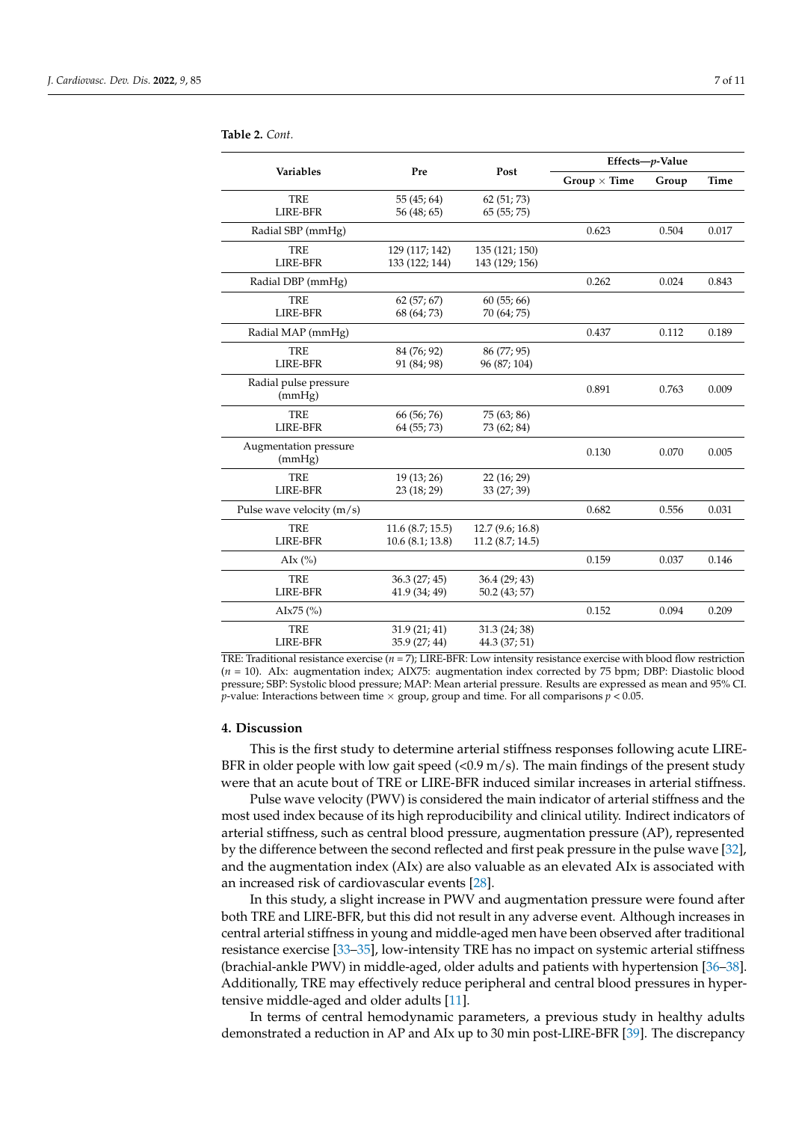| Variables                       | Pre                                | Post                                 | Effects-p-Value     |       |       |
|---------------------------------|------------------------------------|--------------------------------------|---------------------|-------|-------|
|                                 |                                    |                                      | Group $\times$ Time | Group | Time  |
| <b>TRE</b><br><b>LIRE-BFR</b>   | 55(45; 64)<br>56 (48; 65)          | 62 (51; 73)<br>65(55; 75)            |                     |       |       |
| Radial SBP (mmHg)               |                                    |                                      | 0.623               | 0.504 | 0.017 |
| <b>TRE</b><br><b>LIRE-BFR</b>   | 129 (117; 142)<br>133 (122; 144)   | 135 (121; 150)<br>143 (129; 156)     |                     |       |       |
| Radial DBP (mmHg)               |                                    |                                      | 0.262               | 0.024 | 0.843 |
| <b>TRE</b><br><b>LIRE-BFR</b>   | 62(57; 67)<br>68 (64; 73)          | 60(55; 66)<br>70 (64; 75)            |                     |       |       |
| Radial MAP (mmHg)               |                                    |                                      | 0.437               | 0.112 | 0.189 |
| <b>TRE</b><br><b>LIRE-BFR</b>   | 84 (76; 92)<br>91 (84; 98)         | 86 (77; 95)<br>96 (87; 104)          |                     |       |       |
| Radial pulse pressure<br>(mmHg) |                                    |                                      | 0.891               | 0.763 | 0.009 |
| <b>TRE</b><br><b>LIRE-BFR</b>   | 66 (56; 76)<br>64 (55; 73)         | 75 (63; 86)<br>73 (62; 84)           |                     |       |       |
| Augmentation pressure<br>(mmHg) |                                    |                                      | 0.130               | 0.070 | 0.005 |
| <b>TRE</b><br><b>LIRE-BFR</b>   | 19 (13; 26)<br>23 (18; 29)         | 22 (16; 29)<br>33 (27; 39)           |                     |       |       |
| Pulse wave velocity $(m/s)$     |                                    |                                      | 0.682               | 0.556 | 0.031 |
| <b>TRE</b><br><b>LIRE-BFR</b>   | 11.6(8.7; 15.5)<br>10.6(8.1; 13.8) | 12.7 (9.6; 16.8)<br>11.2 (8.7; 14.5) |                     |       |       |
| AIx $(\%)$                      |                                    |                                      | 0.159               | 0.037 | 0.146 |
| <b>TRE</b><br><b>LIRE-BFR</b>   | 36.3(27; 45)<br>41.9 (34; 49)      | 36.4 (29; 43)<br>50.2 (43; 57)       |                     |       |       |
| AIx75 $(%)$                     |                                    |                                      | 0.152               | 0.094 | 0.209 |
| <b>TRE</b><br>LIRE-BFR          | 31.9(21; 41)<br>35.9 (27; 44)      | 31.3 (24; 38)<br>44.3 (37; 51)       |                     |       |       |

<span id="page-6-0"></span>**Table 2.** *Cont.*

TRE: Traditional resistance exercise (*n* = 7); LIRE-BFR: Low intensity resistance exercise with blood flow restriction (*n* = 10). AIx: augmentation index; AIX75: augmentation index corrected by 75 bpm; DBP: Diastolic blood pressure; SBP: Systolic blood pressure; MAP: Mean arterial pressure. Results are expressed as mean and 95% CI. *p*-value: Interactions between time  $\times$  group, group and time. For all comparisons  $p < 0.05$ .

## **4. Discussion**

This is the first study to determine arterial stiffness responses following acute LIRE-BFR in older people with low gait speed  $(<0.9 \text{ m/s})$ . The main findings of the present study were that an acute bout of TRE or LIRE-BFR induced similar increases in arterial stiffness.

Pulse wave velocity (PWV) is considered the main indicator of arterial stiffness and the most used index because of its high reproducibility and clinical utility. Indirect indicators of arterial stiffness, such as central blood pressure, augmentation pressure (AP), represented by the difference between the second reflected and first peak pressure in the pulse wave [\[32\]](#page-9-17), and the augmentation index (AIx) are also valuable as an elevated AIx is associated with an increased risk of cardiovascular events [\[28\]](#page-9-13).

In this study, a slight increase in PWV and augmentation pressure were found after both TRE and LIRE-BFR, but this did not result in any adverse event. Although increases in central arterial stiffness in young and middle-aged men have been observed after traditional resistance exercise [\[33](#page-9-18)[–35\]](#page-9-19), low-intensity TRE has no impact on systemic arterial stiffness (brachial-ankle PWV) in middle-aged, older adults and patients with hypertension [\[36](#page-9-20)[–38\]](#page-9-21). Additionally, TRE may effectively reduce peripheral and central blood pressures in hypertensive middle-aged and older adults [\[11\]](#page-8-8).

In terms of central hemodynamic parameters, a previous study in healthy adults demonstrated a reduction in AP and AIx up to 30 min post-LIRE-BFR [\[39\]](#page-10-0). The discrepancy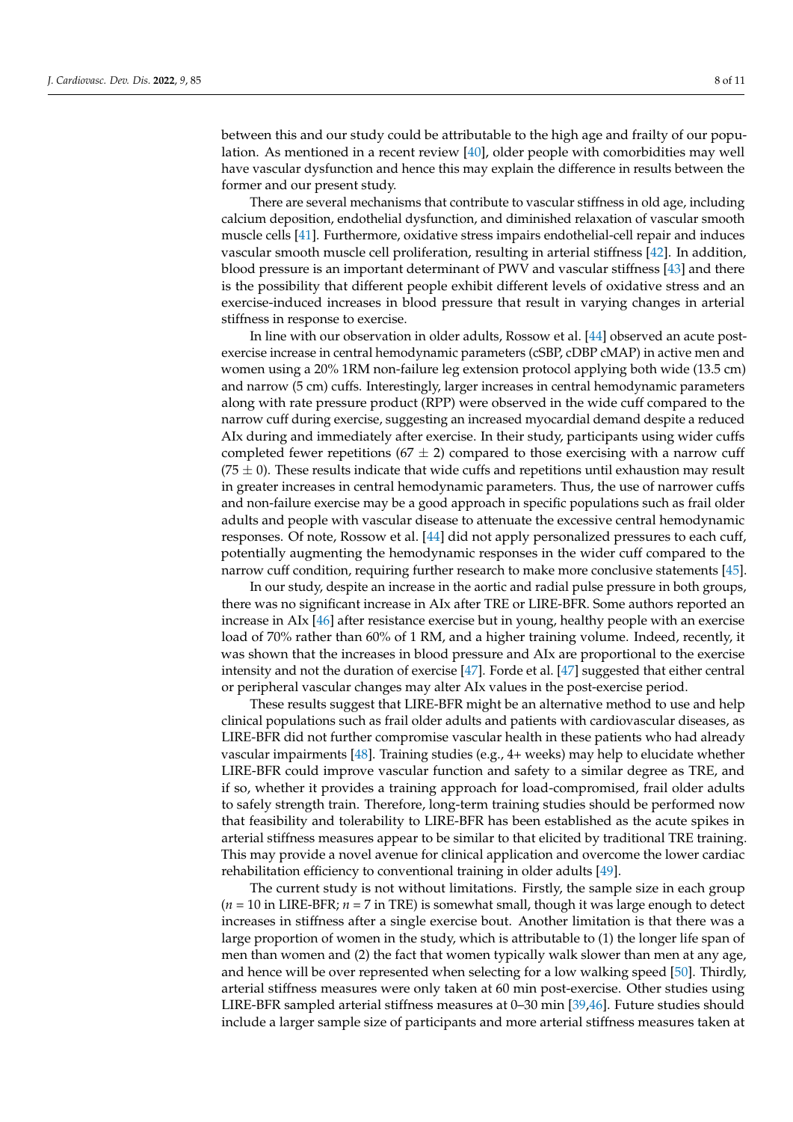between this and our study could be attributable to the high age and frailty of our population. As mentioned in a recent review [\[40\]](#page-10-1), older people with comorbidities may well have vascular dysfunction and hence this may explain the difference in results between the former and our present study.

There are several mechanisms that contribute to vascular stiffness in old age, including calcium deposition, endothelial dysfunction, and diminished relaxation of vascular smooth muscle cells [\[41\]](#page-10-2). Furthermore, oxidative stress impairs endothelial-cell repair and induces vascular smooth muscle cell proliferation, resulting in arterial stiffness [\[42\]](#page-10-3). In addition, blood pressure is an important determinant of PWV and vascular stiffness [\[43\]](#page-10-4) and there is the possibility that different people exhibit different levels of oxidative stress and an exercise-induced increases in blood pressure that result in varying changes in arterial stiffness in response to exercise.

In line with our observation in older adults, Rossow et al. [\[44\]](#page-10-5) observed an acute postexercise increase in central hemodynamic parameters (cSBP, cDBP cMAP) in active men and women using a 20% 1RM non-failure leg extension protocol applying both wide (13.5 cm) and narrow (5 cm) cuffs. Interestingly, larger increases in central hemodynamic parameters along with rate pressure product (RPP) were observed in the wide cuff compared to the narrow cuff during exercise, suggesting an increased myocardial demand despite a reduced AIx during and immediately after exercise. In their study, participants using wider cuffs completed fewer repetitions (67  $\pm$  2) compared to those exercising with a narrow cuff (75  $\pm$  0). These results indicate that wide cuffs and repetitions until exhaustion may result in greater increases in central hemodynamic parameters. Thus, the use of narrower cuffs and non-failure exercise may be a good approach in specific populations such as frail older adults and people with vascular disease to attenuate the excessive central hemodynamic responses. Of note, Rossow et al. [\[44\]](#page-10-5) did not apply personalized pressures to each cuff, potentially augmenting the hemodynamic responses in the wider cuff compared to the narrow cuff condition, requiring further research to make more conclusive statements [\[45\]](#page-10-6).

In our study, despite an increase in the aortic and radial pulse pressure in both groups, there was no significant increase in AIx after TRE or LIRE-BFR. Some authors reported an increase in AIx [\[46\]](#page-10-7) after resistance exercise but in young, healthy people with an exercise load of 70% rather than 60% of 1 RM, and a higher training volume. Indeed, recently, it was shown that the increases in blood pressure and AIx are proportional to the exercise intensity and not the duration of exercise [\[47\]](#page-10-8). Forde et al. [\[47\]](#page-10-8) suggested that either central or peripheral vascular changes may alter AIx values in the post-exercise period.

These results suggest that LIRE-BFR might be an alternative method to use and help clinical populations such as frail older adults and patients with cardiovascular diseases, as LIRE-BFR did not further compromise vascular health in these patients who had already vascular impairments [\[48\]](#page-10-9). Training studies (e.g., 4+ weeks) may help to elucidate whether LIRE-BFR could improve vascular function and safety to a similar degree as TRE, and if so, whether it provides a training approach for load-compromised, frail older adults to safely strength train. Therefore, long-term training studies should be performed now that feasibility and tolerability to LIRE-BFR has been established as the acute spikes in arterial stiffness measures appear to be similar to that elicited by traditional TRE training. This may provide a novel avenue for clinical application and overcome the lower cardiac rehabilitation efficiency to conventional training in older adults [\[49\]](#page-10-10).

The current study is not without limitations. Firstly, the sample size in each group  $(n = 10$  in LIRE-BFR;  $n = 7$  in TRE) is somewhat small, though it was large enough to detect increases in stiffness after a single exercise bout. Another limitation is that there was a large proportion of women in the study, which is attributable to (1) the longer life span of men than women and (2) the fact that women typically walk slower than men at any age, and hence will be over represented when selecting for a low walking speed [\[50\]](#page-10-11). Thirdly, arterial stiffness measures were only taken at 60 min post-exercise. Other studies using LIRE-BFR sampled arterial stiffness measures at 0–30 min [\[39](#page-10-0)[,46\]](#page-10-7). Future studies should include a larger sample size of participants and more arterial stiffness measures taken at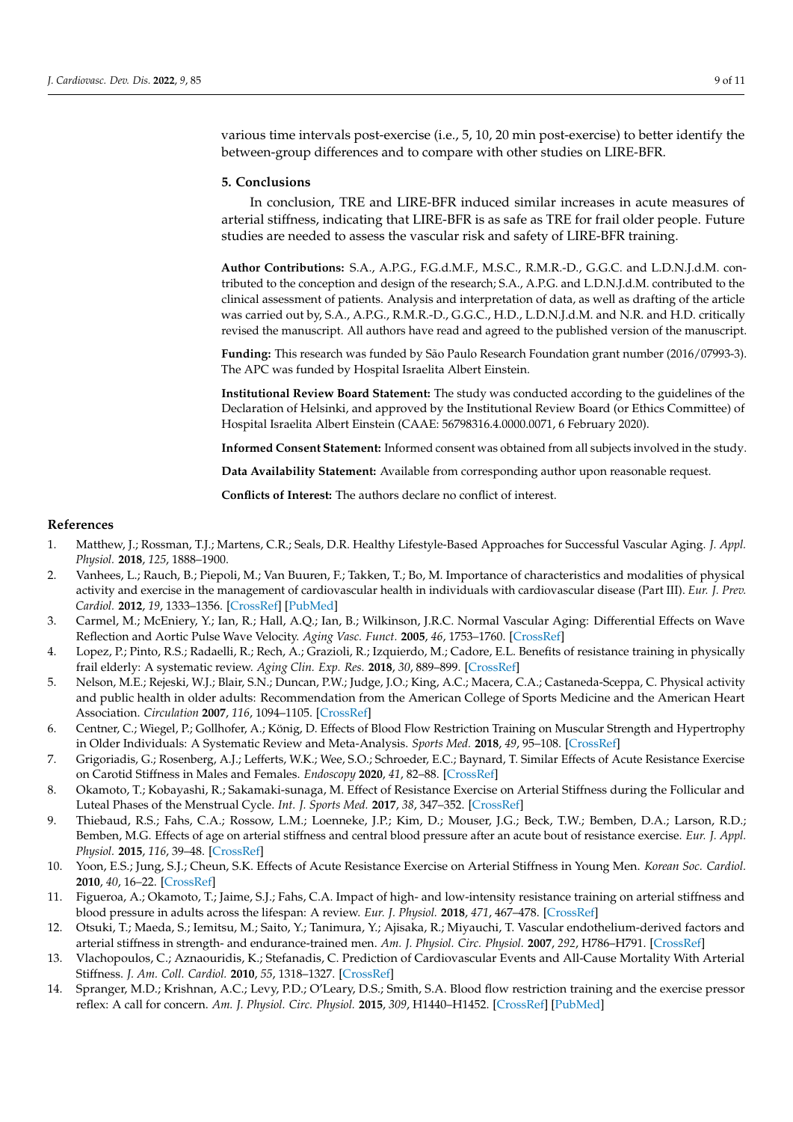various time intervals post-exercise (i.e., 5, 10, 20 min post-exercise) to better identify the between-group differences and to compare with other studies on LIRE-BFR.

#### **5. Conclusions**

In conclusion, TRE and LIRE-BFR induced similar increases in acute measures of arterial stiffness, indicating that LIRE-BFR is as safe as TRE for frail older people. Future studies are needed to assess the vascular risk and safety of LIRE-BFR training.

**Author Contributions:** S.A., A.P.G., F.G.d.M.F., M.S.C., R.M.R.-D., G.G.C. and L.D.N.J.d.M. contributed to the conception and design of the research; S.A., A.P.G. and L.D.N.J.d.M. contributed to the clinical assessment of patients. Analysis and interpretation of data, as well as drafting of the article was carried out by, S.A., A.P.G., R.M.R.-D., G.G.C., H.D., L.D.N.J.d.M. and N.R. and H.D. critically revised the manuscript. All authors have read and agreed to the published version of the manuscript.

**Funding:** This research was funded by São Paulo Research Foundation grant number (2016/07993-3). The APC was funded by Hospital Israelita Albert Einstein.

**Institutional Review Board Statement:** The study was conducted according to the guidelines of the Declaration of Helsinki, and approved by the Institutional Review Board (or Ethics Committee) of Hospital Israelita Albert Einstein (CAAE: 56798316.4.0000.0071, 6 February 2020).

**Informed Consent Statement:** Informed consent was obtained from all subjects involved in the study.

**Data Availability Statement:** Available from corresponding author upon reasonable request.

**Conflicts of Interest:** The authors declare no conflict of interest.

## **References**

- <span id="page-8-0"></span>1. Matthew, J.; Rossman, T.J.; Martens, C.R.; Seals, D.R. Healthy Lifestyle-Based Approaches for Successful Vascular Aging. *J. Appl. Physiol.* **2018**, *125*, 1888–1900.
- <span id="page-8-1"></span>2. Vanhees, L.; Rauch, B.; Piepoli, M.; Van Buuren, F.; Takken, T.; Bo, M. Importance of characteristics and modalities of physical activity and exercise in the management of cardiovascular health in individuals with cardiovascular disease (Part III). *Eur. J. Prev. Cardiol.* **2012**, *19*, 1333–1356. [\[CrossRef\]](http://doi.org/10.1177/2047487312437063) [\[PubMed\]](http://www.ncbi.nlm.nih.gov/pubmed/22637740)
- <span id="page-8-2"></span>3. Carmel, M.; McEniery, Y.; Ian, R.; Hall, A.Q.; Ian, B.; Wilkinson, J.R.C. Normal Vascular Aging: Differential Effects on Wave Reflection and Aortic Pulse Wave Velocity. *Aging Vasc. Funct.* **2005**, *46*, 1753–1760. [\[CrossRef\]](http://doi.org/10.1016/j.jacc.2005.07.037)
- <span id="page-8-3"></span>4. Lopez, P.; Pinto, R.S.; Radaelli, R.; Rech, A.; Grazioli, R.; Izquierdo, M.; Cadore, E.L. Benefits of resistance training in physically frail elderly: A systematic review. *Aging Clin. Exp. Res.* **2018**, *30*, 889–899. [\[CrossRef\]](http://doi.org/10.1007/s40520-017-0863-z)
- <span id="page-8-4"></span>5. Nelson, M.E.; Rejeski, W.J.; Blair, S.N.; Duncan, P.W.; Judge, J.O.; King, A.C.; Macera, C.A.; Castaneda-Sceppa, C. Physical activity and public health in older adults: Recommendation from the American College of Sports Medicine and the American Heart Association. *Circulation* **2007**, *116*, 1094–1105. [\[CrossRef\]](http://doi.org/10.1249/mss.0b013e3180616aa2)
- <span id="page-8-5"></span>6. Centner, C.; Wiegel, P.; Gollhofer, A.; König, D. Effects of Blood Flow Restriction Training on Muscular Strength and Hypertrophy in Older Individuals: A Systematic Review and Meta-Analysis. *Sports Med.* **2018**, *49*, 95–108. [\[CrossRef\]](http://doi.org/10.1007/s40279-018-0994-1)
- <span id="page-8-6"></span>7. Grigoriadis, G.; Rosenberg, A.J.; Lefferts, W.K.; Wee, S.O.; Schroeder, E.C.; Baynard, T. Similar Effects of Acute Resistance Exercise on Carotid Stiffness in Males and Females. *Endoscopy* **2020**, *41*, 82–88. [\[CrossRef\]](http://doi.org/10.1055/a-1044-2321)
- 8. Okamoto, T.; Kobayashi, R.; Sakamaki-sunaga, M. Effect of Resistance Exercise on Arterial Stiffness during the Follicular and Luteal Phases of the Menstrual Cycle. *Int. J. Sports Med.* **2017**, *38*, 347–352. [\[CrossRef\]](http://doi.org/10.1055/s-0043-101377)
- 9. Thiebaud, R.S.; Fahs, C.A.; Rossow, L.M.; Loenneke, J.P.; Kim, D.; Mouser, J.G.; Beck, T.W.; Bemben, D.A.; Larson, R.D.; Bemben, M.G. Effects of age on arterial stiffness and central blood pressure after an acute bout of resistance exercise. *Eur. J. Appl. Physiol.* **2015**, *116*, 39–48. [\[CrossRef\]](http://doi.org/10.1007/s00421-015-3242-5)
- <span id="page-8-7"></span>10. Yoon, E.S.; Jung, S.J.; Cheun, S.K. Effects of Acute Resistance Exercise on Arterial Stiffness in Young Men. *Korean Soc. Cardiol.* **2010**, *40*, 16–22. [\[CrossRef\]](http://doi.org/10.4070/kcj.2010.40.1.16)
- <span id="page-8-8"></span>11. Figueroa, A.; Okamoto, T.; Jaime, S.J.; Fahs, C.A. Impact of high- and low-intensity resistance training on arterial stiffness and blood pressure in adults across the lifespan: A review. *Eur. J. Physiol.* **2018**, *471*, 467–478. [\[CrossRef\]](http://doi.org/10.1007/s00424-018-2235-8)
- <span id="page-8-9"></span>12. Otsuki, T.; Maeda, S.; Iemitsu, M.; Saito, Y.; Tanimura, Y.; Ajisaka, R.; Miyauchi, T. Vascular endothelium-derived factors and arterial stiffness in strength- and endurance-trained men. *Am. J. Physiol. Circ. Physiol.* **2007**, *292*, H786–H791. [\[CrossRef\]](http://doi.org/10.1152/ajpheart.00678.2006)
- <span id="page-8-10"></span>13. Vlachopoulos, C.; Aznaouridis, K.; Stefanadis, C. Prediction of Cardiovascular Events and All-Cause Mortality With Arterial Stiffness. *J. Am. Coll. Cardiol.* **2010**, *55*, 1318–1327. [\[CrossRef\]](http://doi.org/10.1016/j.jacc.2009.10.061)
- <span id="page-8-11"></span>14. Spranger, M.D.; Krishnan, A.C.; Levy, P.D.; O'Leary, D.S.; Smith, S.A. Blood flow restriction training and the exercise pressor reflex: A call for concern. *Am. J. Physiol. Circ. Physiol.* **2015**, *309*, H1440–H1452. [\[CrossRef\]](http://doi.org/10.1152/ajpheart.00208.2015) [\[PubMed\]](http://www.ncbi.nlm.nih.gov/pubmed/26342064)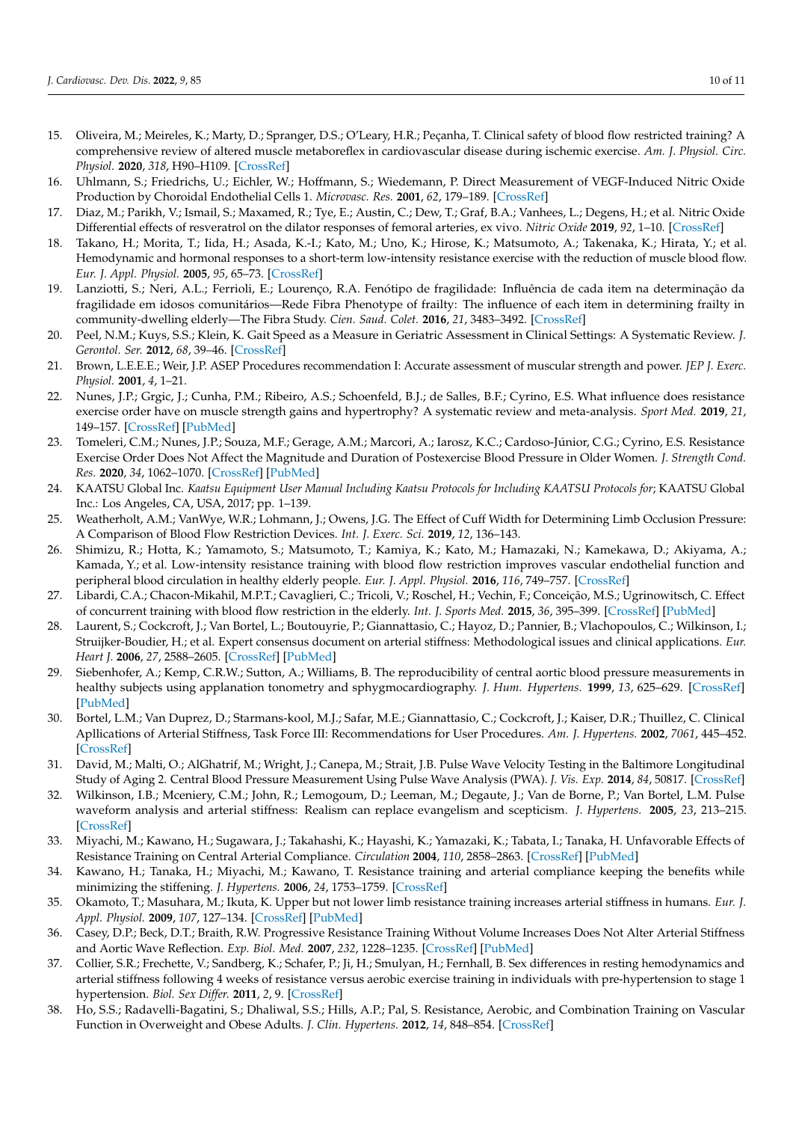- <span id="page-9-0"></span>15. Oliveira, M.; Meireles, K.; Marty, D.; Spranger, D.S.; O'Leary, H.R.; Peçanha, T. Clinical safety of blood flow restricted training? A comprehensive review of altered muscle metaboreflex in cardiovascular disease during ischemic exercise. *Am. J. Physiol. Circ. Physiol.* **2020**, *318*, H90–H109. [\[CrossRef\]](http://doi.org/10.1152/ajpheart.00468.2019)
- <span id="page-9-1"></span>16. Uhlmann, S.; Friedrichs, U.; Eichler, W.; Hoffmann, S.; Wiedemann, P. Direct Measurement of VEGF-Induced Nitric Oxide Production by Choroidal Endothelial Cells 1. *Microvasc. Res.* **2001**, *62*, 179–189. [\[CrossRef\]](http://doi.org/10.1006/mvre.2001.2334)
- <span id="page-9-2"></span>17. Diaz, M.; Parikh, V.; Ismail, S.; Maxamed, R.; Tye, E.; Austin, C.; Dew, T.; Graf, B.A.; Vanhees, L.; Degens, H.; et al. Nitric Oxide Differential effects of resveratrol on the dilator responses of femoral arteries, ex vivo. *Nitric Oxide* **2019**, *92*, 1–10. [\[CrossRef\]](http://doi.org/10.1016/j.niox.2019.07.008)
- <span id="page-9-3"></span>18. Takano, H.; Morita, T.; Iida, H.; Asada, K.-I.; Kato, M.; Uno, K.; Hirose, K.; Matsumoto, A.; Takenaka, K.; Hirata, Y.; et al. Hemodynamic and hormonal responses to a short-term low-intensity resistance exercise with the reduction of muscle blood flow. *Eur. J. Appl. Physiol.* **2005**, *95*, 65–73. [\[CrossRef\]](http://doi.org/10.1007/s00421-005-1389-1)
- <span id="page-9-4"></span>19. Lanziotti, S.; Neri, A.L.; Ferrioli, E.; Lourenço, R.A. Fenótipo de fragilidade: Influência de cada item na determinação da fragilidade em idosos comunitários—Rede Fibra Phenotype of frailty: The influence of each item in determining frailty in community-dwelling elderly—The Fibra Study. *Cien. Saud. Colet.* **2016**, *21*, 3483–3492. [\[CrossRef\]](http://doi.org/10.1590/1413-812320152111.23292015)
- <span id="page-9-5"></span>20. Peel, N.M.; Kuys, S.S.; Klein, K. Gait Speed as a Measure in Geriatric Assessment in Clinical Settings: A Systematic Review. *J. Gerontol. Ser.* **2012**, *68*, 39–46. [\[CrossRef\]](http://doi.org/10.1093/gerona/gls174)
- <span id="page-9-6"></span>21. Brown, L.E.E.E.; Weir, J.P. ASEP Procedures recommendation I: Accurate assessment of muscular strength and power. *JEP J. Exerc. Physiol.* **2001**, *4*, 1–21.
- <span id="page-9-7"></span>22. Nunes, J.P.; Grgic, J.; Cunha, P.M.; Ribeiro, A.S.; Schoenfeld, B.J.; de Salles, B.F.; Cyrino, E.S. What influence does resistance exercise order have on muscle strength gains and hypertrophy? A systematic review and meta-analysis. *Sport Med.* **2019**, *21*, 149–157. [\[CrossRef\]](http://doi.org/10.1080/17461391.2020.1733672) [\[PubMed\]](http://www.ncbi.nlm.nih.gov/pubmed/32077380)
- <span id="page-9-8"></span>23. Tomeleri, C.M.; Nunes, J.P.; Souza, M.F.; Gerage, A.M.; Marcori, A.; Iarosz, K.C.; Cardoso-Júnior, C.G.; Cyrino, E.S. Resistance Exercise Order Does Not Affect the Magnitude and Duration of Postexercise Blood Pressure in Older Women. *J. Strength Cond. Res.* **2020**, *34*, 1062–1070. [\[CrossRef\]](http://doi.org/10.1519/JSC.0000000000002177) [\[PubMed\]](http://www.ncbi.nlm.nih.gov/pubmed/32205834)
- <span id="page-9-9"></span>24. KAATSU Global Inc. *Kaatsu Equipment User Manual Including Kaatsu Protocols for Including KAATSU Protocols for*; KAATSU Global Inc.: Los Angeles, CA, USA, 2017; pp. 1–139.
- <span id="page-9-10"></span>25. Weatherholt, A.M.; VanWye, W.R.; Lohmann, J.; Owens, J.G. The Effect of Cuff Width for Determining Limb Occlusion Pressure: A Comparison of Blood Flow Restriction Devices. *Int. J. Exerc. Sci.* **2019**, *12*, 136–143.
- <span id="page-9-11"></span>26. Shimizu, R.; Hotta, K.; Yamamoto, S.; Matsumoto, T.; Kamiya, K.; Kato, M.; Hamazaki, N.; Kamekawa, D.; Akiyama, A.; Kamada, Y.; et al. Low-intensity resistance training with blood flow restriction improves vascular endothelial function and peripheral blood circulation in healthy elderly people. *Eur. J. Appl. Physiol.* **2016**, *116*, 749–757. [\[CrossRef\]](http://doi.org/10.1007/s00421-016-3328-8)
- <span id="page-9-12"></span>27. Libardi, C.A.; Chacon-Mikahil, M.P.T.; Cavaglieri, C.; Tricoli, V.; Roschel, H.; Vechin, F.; Conceição, M.S.; Ugrinowitsch, C. Effect of concurrent training with blood flow restriction in the elderly. *Int. J. Sports Med.* **2015**, *36*, 395–399. [\[CrossRef\]](http://doi.org/10.1055/s-0034-1390496) [\[PubMed\]](http://www.ncbi.nlm.nih.gov/pubmed/25700103)
- <span id="page-9-13"></span>28. Laurent, S.; Cockcroft, J.; Van Bortel, L.; Boutouyrie, P.; Giannattasio, C.; Hayoz, D.; Pannier, B.; Vlachopoulos, C.; Wilkinson, I.; Struijker-Boudier, H.; et al. Expert consensus document on arterial stiffness: Methodological issues and clinical applications. *Eur. Heart J.* **2006**, *27*, 2588–2605. [\[CrossRef\]](http://doi.org/10.1093/eurheartj/ehl254) [\[PubMed\]](http://www.ncbi.nlm.nih.gov/pubmed/17000623)
- <span id="page-9-14"></span>29. Siebenhofer, A.; Kemp, C.R.W.; Sutton, A.; Williams, B. The reproducibility of central aortic blood pressure measurements in healthy subjects using applanation tonometry and sphygmocardiography. *J. Hum. Hypertens.* **1999**, *13*, 625–629. [\[CrossRef\]](http://doi.org/10.1038/sj.jhh.1000887) [\[PubMed\]](http://www.ncbi.nlm.nih.gov/pubmed/10482972)
- <span id="page-9-15"></span>30. Bortel, L.M.; Van Duprez, D.; Starmans-kool, M.J.; Safar, M.E.; Giannattasio, C.; Cockcroft, J.; Kaiser, D.R.; Thuillez, C. Clinical Apllications of Arterial Stiffness, Task Force III: Recommendations for User Procedures. *Am. J. Hypertens.* **2002**, *7061*, 445–452. [\[CrossRef\]](http://doi.org/10.1016/S0895-7061(01)02326-3)
- <span id="page-9-16"></span>31. David, M.; Malti, O.; AlGhatrif, M.; Wright, J.; Canepa, M.; Strait, J.B. Pulse Wave Velocity Testing in the Baltimore Longitudinal Study of Aging 2. Central Blood Pressure Measurement Using Pulse Wave Analysis (PWA). *J. Vis. Exp.* **2014**, *84*, 50817. [\[CrossRef\]](http://doi.org/10.3791/50817)
- <span id="page-9-17"></span>32. Wilkinson, I.B.; Mceniery, C.M.; John, R.; Lemogoum, D.; Leeman, M.; Degaute, J.; Van de Borne, P.; Van Bortel, L.M. Pulse waveform analysis and arterial stiffness: Realism can replace evangelism and scepticism. *J. Hypertens.* **2005**, *23*, 213–215. [\[CrossRef\]](http://doi.org/10.1097/00004872-200501000-00032)
- <span id="page-9-18"></span>33. Miyachi, M.; Kawano, H.; Sugawara, J.; Takahashi, K.; Hayashi, K.; Yamazaki, K.; Tabata, I.; Tanaka, H. Unfavorable Effects of Resistance Training on Central Arterial Compliance. *Circulation* **2004**, *110*, 2858–2863. [\[CrossRef\]](http://doi.org/10.1161/01.CIR.0000146380.08401.99) [\[PubMed\]](http://www.ncbi.nlm.nih.gov/pubmed/15492301)
- 34. Kawano, H.; Tanaka, H.; Miyachi, M.; Kawano, T. Resistance training and arterial compliance keeping the benefits while minimizing the stiffening. *J. Hypertens.* **2006**, *24*, 1753–1759. [\[CrossRef\]](http://doi.org/10.1097/01.hjh.0000242399.60838.14)
- <span id="page-9-19"></span>35. Okamoto, T.; Masuhara, M.; Ikuta, K. Upper but not lower limb resistance training increases arterial stiffness in humans. *Eur. J. Appl. Physiol.* **2009**, *107*, 127–134. [\[CrossRef\]](http://doi.org/10.1007/s00421-009-1110-x) [\[PubMed\]](http://www.ncbi.nlm.nih.gov/pubmed/19533164)
- <span id="page-9-20"></span>36. Casey, D.P.; Beck, D.T.; Braith, R.W. Progressive Resistance Training Without Volume Increases Does Not Alter Arterial Stiffness and Aortic Wave Reflection. *Exp. Biol. Med.* **2007**, *232*, 1228–1235. [\[CrossRef\]](http://doi.org/10.3181/0703-RM-65) [\[PubMed\]](http://www.ncbi.nlm.nih.gov/pubmed/17895531)
- 37. Collier, S.R.; Frechette, V.; Sandberg, K.; Schafer, P.; Ji, H.; Smulyan, H.; Fernhall, B. Sex differences in resting hemodynamics and arterial stiffness following 4 weeks of resistance versus aerobic exercise training in individuals with pre-hypertension to stage 1 hypertension. *Biol. Sex Differ.* **2011**, *2*, 9. [\[CrossRef\]](http://doi.org/10.1186/2042-6410-2-9)
- <span id="page-9-21"></span>38. Ho, S.S.; Radavelli-Bagatini, S.; Dhaliwal, S.S.; Hills, A.P.; Pal, S. Resistance, Aerobic, and Combination Training on Vascular Function in Overweight and Obese Adults. *J. Clin. Hypertens.* **2012**, *14*, 848–854. [\[CrossRef\]](http://doi.org/10.1111/j.1751-7176.2012.00700.x)